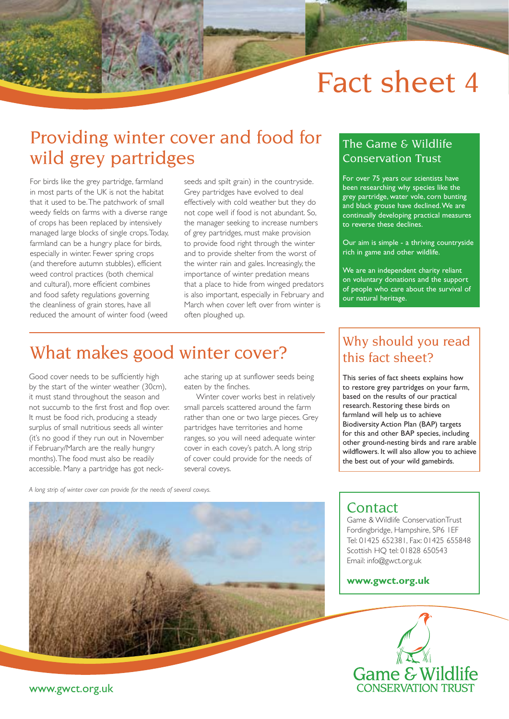# Fact sheet 4

# Providing winter cover and food for wild grey partridges

For birds like the grey partridge, farmland in most parts of the UK is not the habitat that it used to be. The patchwork of small weedy fields on farms with a diverse range of crops has been replaced by intensively managed large blocks of single crops. Today, farmland can be a hungry place for birds, especially in winter. Fewer spring crops (and therefore autumn stubbles), efficient weed control practices (both chemical and cultural), more efficient combines and food safety regulations governing the cleanliness of grain stores, have all reduced the amount of winter food (weed

seeds and spilt grain) in the countryside. Grey partridges have evolved to deal effectively with cold weather but they do not cope well if food is not abundant. So, the manager seeking to increase numbers of grey partridges, must make provision to provide food right through the winter and to provide shelter from the worst of the winter rain and gales. Increasingly, the importance of winter predation means that a place to hide from winged predators is also important, especially in February and March when cover left over from winter is often ploughed up.

#### The Game & Wildlife Conservation Trust

For over 75 years our scientists have been researching why species like the grey partridge, water vole, corn bunting and black grouse have declined. We are continually developing practical measures to reverse these declines.

Our aim is simple - a thriving countryside rich in game and other wildlife.

We are an independent charity reliant on voluntary donations and the support of people who care about the survival of our natural heritage.

# What makes good winter cover?

Good cover needs to be sufficiently high by the start of the winter weather (30cm), it must stand throughout the season and not succumb to the first frost and flop over. It must be food rich, producing a steady surplus of small nutritious seeds all winter (it's no good if they run out in November if February/March are the really hungry months). The food must also be readily accessible. Many a partridge has got neckache staring up at sunflower seeds being eaten by the finches.

Winter cover works best in relatively small parcels scattered around the farm rather than one or two large pieces. Grey partridges have territories and home ranges, so you will need adequate winter cover in each covey's patch. A long strip of cover could provide for the needs of several coveys.

*A long strip of winter cover can provide for the needs of several coveys.* 



### Why should you read this fact sheet?

This series of fact sheets explains how to restore grey partridges on your farm, based on the results of our practical research. Restoring these birds on farmland will help us to achieve Biodiversity Action Plan (BAP) targets for this and other BAP species, including other ground-nesting birds and rare arable wildflowers. It will also allow you to achieve the best out of your wild gamebirds.

#### **Contact**

Game & Wildlife ConservationTrust Fordingbridge, Hampshire, SP6 1EF Tel: 01425 652381, Fax: 01425 655848 Scottish HQ tel: 01828 650543 Email: info@gwct.org.uk

#### **www.gwct.org.uk**



www.gwct.org.uk